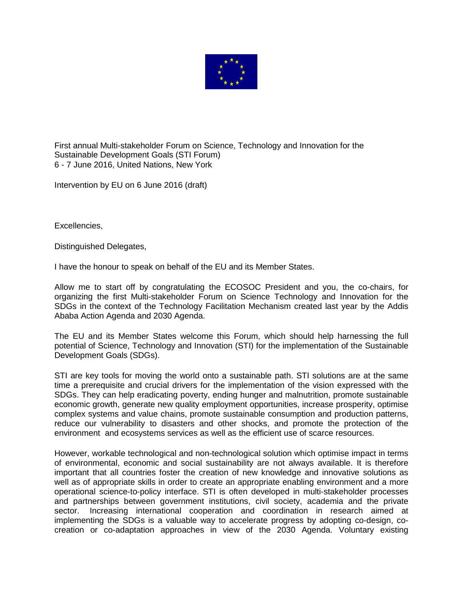

First annual Multi-stakeholder Forum on Science, Technology and Innovation for the Sustainable Development Goals (STI Forum) 6 - 7 June 2016, United Nations, New York

Intervention by EU on 6 June 2016 (draft)

Excellencies,

Distinguished Delegates,

I have the honour to speak on behalf of the EU and its Member States.

Allow me to start off by congratulating the ECOSOC President and you, the co-chairs, for organizing the first Multi-stakeholder Forum on Science Technology and Innovation for the SDGs in the context of the Technology Facilitation Mechanism created last year by the Addis Ababa Action Agenda and 2030 Agenda.

The EU and its Member States welcome this Forum, which should help harnessing the full potential of Science, Technology and Innovation (STI) for the implementation of the Sustainable Development Goals (SDGs).

STI are key tools for moving the world onto a sustainable path. STI solutions are at the same time a prerequisite and crucial drivers for the implementation of the vision expressed with the SDGs. They can help eradicating poverty, ending hunger and malnutrition, promote sustainable economic growth, generate new quality employment opportunities, increase prosperity, optimise complex systems and value chains, promote sustainable consumption and production patterns, reduce our vulnerability to disasters and other shocks, and promote the protection of the environment and ecosystems services as well as the efficient use of scarce resources.

However, workable technological and non-technological solution which optimise impact in terms of environmental, economic and social sustainability are not always available. It is therefore important that all countries foster the creation of new knowledge and innovative solutions as well as of appropriate skills in order to create an appropriate enabling environment and a more operational science-to-policy interface. STI is often developed in multi-stakeholder processes and partnerships between government institutions, civil society, academia and the private sector. Increasing international cooperation and coordination in research aimed at implementing the SDGs is a valuable way to accelerate progress by adopting co-design, cocreation or co-adaptation approaches in view of the 2030 Agenda. Voluntary existing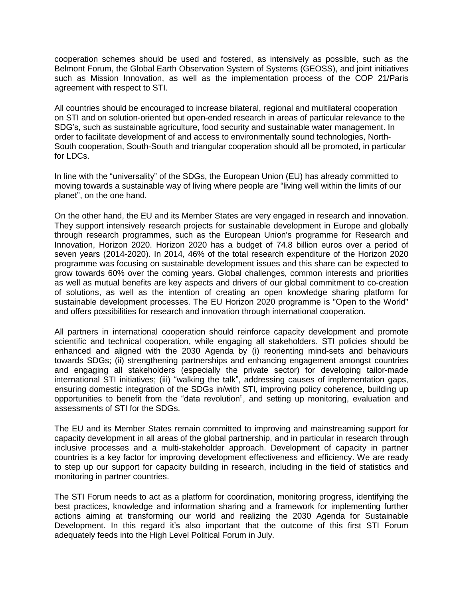cooperation schemes should be used and fostered, as intensively as possible, such as the Belmont Forum, the Global Earth Observation System of Systems (GEOSS), and joint initiatives such as Mission Innovation, as well as the implementation process of the COP 21/Paris agreement with respect to STI.

All countries should be encouraged to increase bilateral, regional and multilateral cooperation on STI and on solution-oriented but open-ended research in areas of particular relevance to the SDG's, such as sustainable agriculture, food security and sustainable water management. In order to facilitate development of and access to environmentally sound technologies, North-South cooperation, South-South and triangular cooperation should all be promoted, in particular for LDCs.

In line with the "universality" of the SDGs, the European Union (EU) has already committed to moving towards a sustainable way of living where people are "living well within the limits of our planet", on the one hand.

On the other hand, the EU and its Member States are very engaged in research and innovation. They support intensively research projects for sustainable development in Europe and globally through research programmes, such as the European Union's programme for Research and Innovation, Horizon 2020. Horizon 2020 has a budget of 74.8 billion euros over a period of seven years (2014-2020). In 2014, 46% of the total research expenditure of the Horizon 2020 programme was focusing on sustainable development issues and this share can be expected to grow towards 60% over the coming years. Global challenges, common interests and priorities as well as mutual benefits are key aspects and drivers of our global commitment to co-creation of solutions, as well as the intention of creating an open knowledge sharing platform for sustainable development processes. The EU Horizon 2020 programme is "Open to the World" and offers possibilities for research and innovation through international cooperation.

All partners in international cooperation should reinforce capacity development and promote scientific and technical cooperation, while engaging all stakeholders. STI policies should be enhanced and aligned with the 2030 Agenda by (i) reorienting mind-sets and behaviours towards SDGs; (ii) strengthening partnerships and enhancing engagement amongst countries and engaging all stakeholders (especially the private sector) for developing tailor-made international STI initiatives; (iii) "walking the talk", addressing causes of implementation gaps, ensuring domestic integration of the SDGs in/with STI, improving policy coherence, building up opportunities to benefit from the "data revolution", and setting up monitoring, evaluation and assessments of STI for the SDGs.

The EU and its Member States remain committed to improving and mainstreaming support for capacity development in all areas of the global partnership, and in particular in research through inclusive processes and a multi-stakeholder approach. Development of capacity in partner countries is a key factor for improving development effectiveness and efficiency. We are ready to step up our support for capacity building in research, including in the field of statistics and monitoring in partner countries.

The STI Forum needs to act as a platform for coordination, monitoring progress, identifying the best practices, knowledge and information sharing and a framework for implementing further actions aiming at transforming our world and realizing the 2030 Agenda for Sustainable Development. In this regard it's also important that the outcome of this first STI Forum adequately feeds into the High Level Political Forum in July.